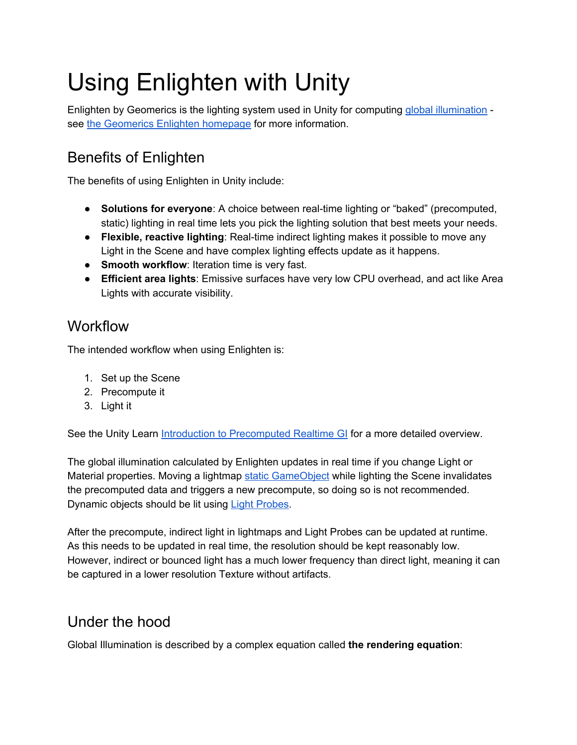# Using Enlighten with Unity

Enlighten by Geomerics is the lighting system used in Unity for computing global [illumination](https://docs.unity3d.com/Manual/GIIntro.html) - see the [Geomerics](http://www.geomerics.com/enlighten/) Enlighten homepage for more information.

## Benefits of Enlighten

The benefits of using Enlighten in Unity include:

- **Solutions for everyone**: A choice between real-time lighting or "baked" (precomputed, static) lighting in real time lets you pick the lighting solution that best meets your needs.
- **Flexible, reactive lighting**: Real-time indirect lighting makes it possible to move any Light in the Scene and have complex lighting effects update as it happens.
- **Smooth workflow**: Iteration time is very fast.
- **Efficient area lights**: Emissive surfaces have very low CPU overhead, and act like Area Lights with accurate visibility.

### **Workflow**

The intended workflow when using Enlighten is:

- 1. Set up the Scene
- 2. Precompute it
- 3. Light it

See the Unity Learn Introduction to [Precomputed](https://unity3d.com/learn/tutorials/topics/graphics/introduction-precomputed-realtime-gi?playlist=17102) Realtime GI for a more detailed overview.

The global illumination calculated by Enlighten updates in real time if you change Light or Material properties. Moving a lightmap static [GameObject](https://docs.unity3d.com/Manual/StaticObjects.html) while lighting the Scene invalidates the precomputed data and triggers a new precompute, so doing so is not recommended. Dynamic objects should be lit using Light [Probes.](http://docs.unity3d.com/Manual/LightProbes.html)

After the precompute, indirect light in lightmaps and Light Probes can be updated at runtime. As this needs to be updated in real time, the resolution should be kept reasonably low. However, indirect or bounced light has a much lower frequency than direct light, meaning it can be captured in a lower resolution Texture without artifacts.

#### Under the hood

Global Illumination is described by a complex equation called **the rendering equation**: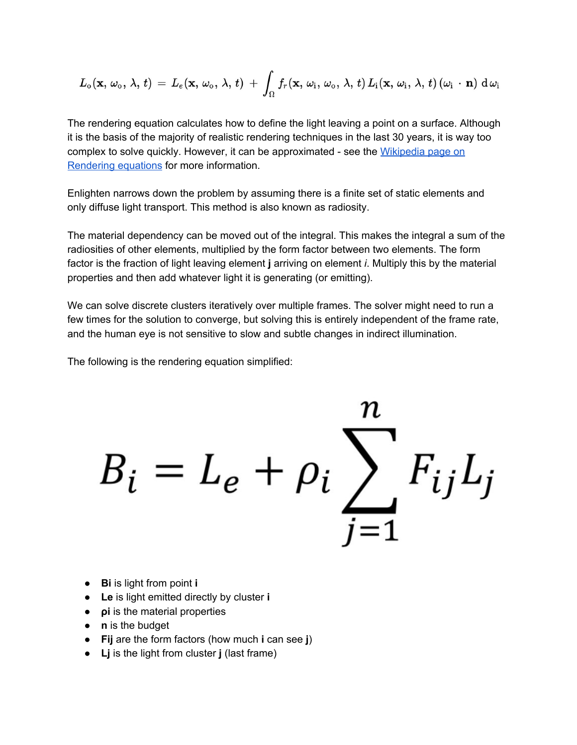$$
L_{\rm o}({\bf x},\,\omega_{\rm o},\,\lambda,\,t)\,=\,L_{e}({\bf x},\,\omega_{\rm o},\,\lambda,\,t)\,+\,\int_{\Omega}f_{r}({\bf x},\,\omega_{\rm i},\,\omega_{\rm o},\,\lambda,\,t)\,L_{\rm i}({\bf x},\,\omega_{\rm i},\,\lambda,\,t)\,(\omega_{\rm i}\,\cdot\,{\bf n})\,\,{\rm d}\,\omega_{\rm i}
$$

The rendering equation calculates how to define the light leaving a point on a surface. Although it is the basis of the majority of realistic rendering techniques in the last 30 years, it is way too complex to solve quickly. However, it can be approximated - see the [Wikipedia](https://en.wikipedia.org/wiki/Rendering_equation) page on [Rendering](https://en.wikipedia.org/wiki/Rendering_equation) equations for more information.

Enlighten narrows down the problem by assuming there is a finite set of static elements and only diffuse light transport. This method is also known as radiosity.

The material dependency can be moved out of the integral. This makes the integral a sum of the radiosities of other elements, multiplied by the form factor between two elements. The form factor is the fraction of light leaving element **j** arriving on element *i*. Multiply this by the material properties and then add whatever light it is generating (or emitting).

We can solve discrete clusters iteratively over multiple frames. The solver might need to run a few times for the solution to converge, but solving this is entirely independent of the frame rate, and the human eye is not sensitive to slow and subtle changes in indirect illumination.

The following is the rendering equation simplified:

$$
B_i = L_e + \rho_i \sum_{j=1}^n F_{ij} L_j
$$

- **Bi** is light from point **i**
- **Le** is light emitted directly by cluster **i**
- **•** *pi* is the material properties
- **n** is the budget
- **Fij** are the form factors (how much **i** can see **j**)
- **Lj** is the light from cluster **j** (last frame)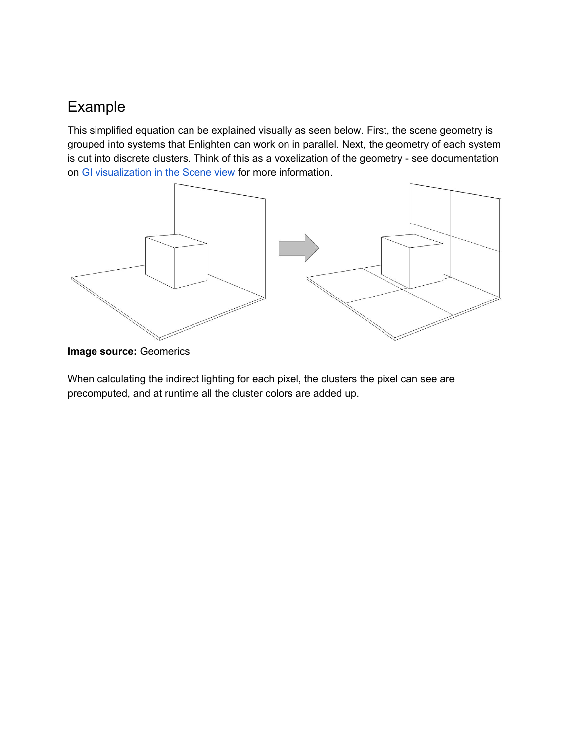#### Example

This simplified equation can be explained visually as seen below. First, the scene geometry is grouped into systems that Enlighten can work on in parallel. Next, the geometry of each system is cut into discrete clusters. Think of this as a voxelization of the geometry - see documentation on GI [visualization](http://docs.unity3d.com/Manual/GIVis.html) in the Scene view for more information.



**Image source:** Geomerics

When calculating the indirect lighting for each pixel, the clusters the pixel can see are precomputed, and at runtime all the cluster colors are added up.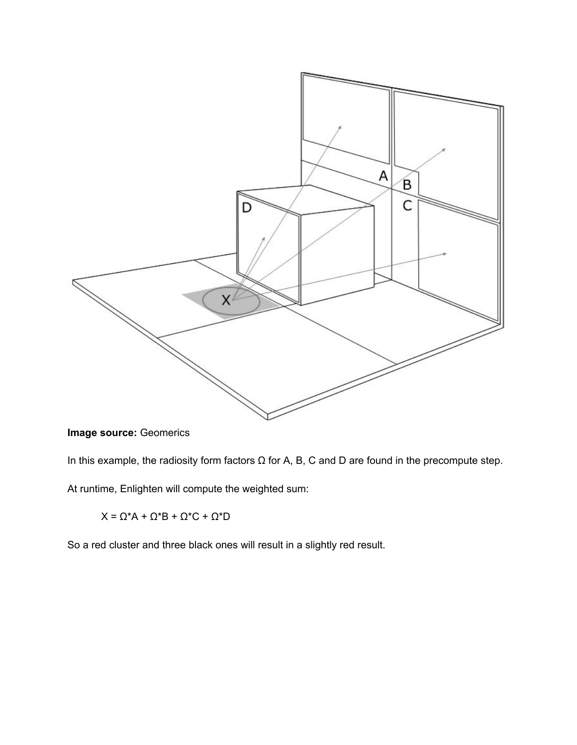

**Image source:** Geomerics

In this example, the radiosity form factors  $\Omega$  for A, B, C and D are found in the precompute step.

At runtime, Enlighten will compute the weighted sum:

 $X = \Omega^* A + \Omega^* B + \Omega^* C + \Omega^* D$ 

So a red cluster and three black ones will result in a slightly red result.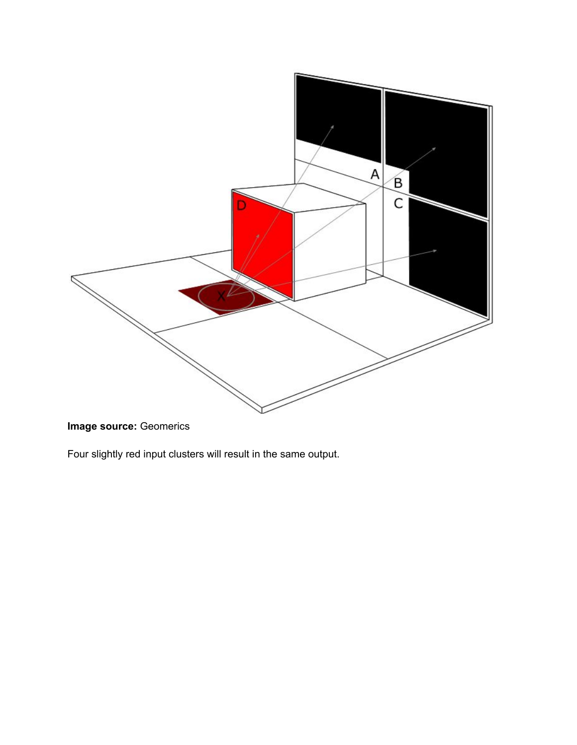

**Image source:** Geomerics

Four slightly red input clusters will result in the same output.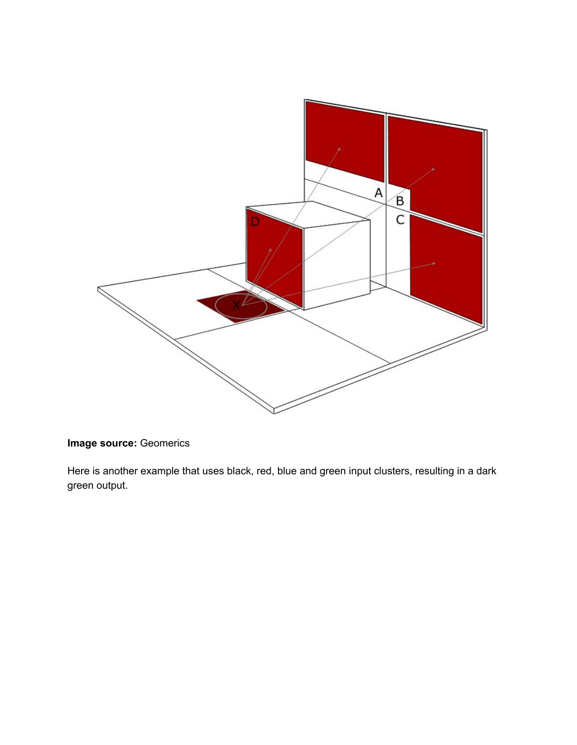

#### **Image source:** Geomerics

Here is another example that uses black, red, blue and green input clusters, resulting in a dark green output.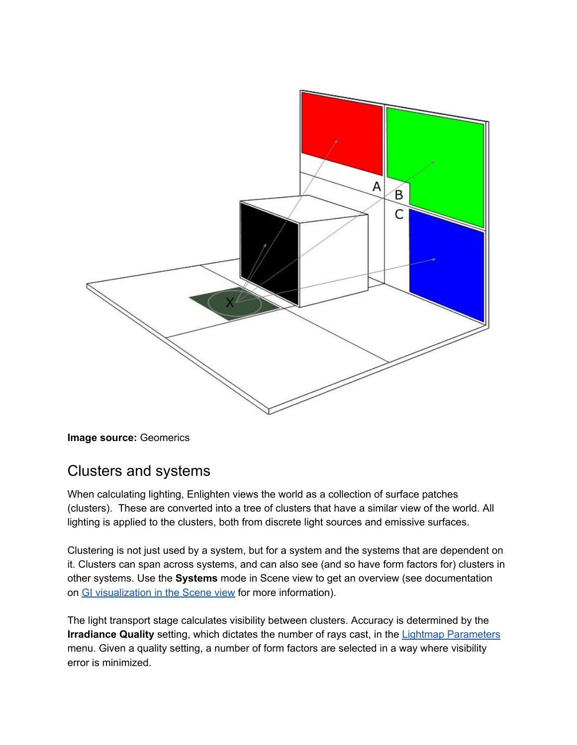

**Image source:** Geomerics

#### Clusters and systems

When calculating lighting, Enlighten views the world as a collection of surface patches (clusters). These are converted into a tree of clusters that have a similar view of the world. All lighting is applied to the clusters, both from discrete light sources and emissive surfaces.

Clustering is not just used by a system, but for a system and the systems that are dependent on it. Clusters can span across systems, and can also see (and so have form factors for) clusters in other systems. Use the **Systems** mode in Scene view to get an overview (see documentation on GI [visualization](http://docs.unity3d.com/Manual/GIVis.html) in the Scene view for more information).

The light transport stage calculates visibility between clusters. Accuracy is determined by the **Irradiance Quality** setting, which dictates the number of rays cast, in the Lightmap [Parameters](http://docs.unity3d.com/Manual/LightmapParameters.html) menu. Given a quality setting, a number of form factors are selected in a way where visibility error is minimized.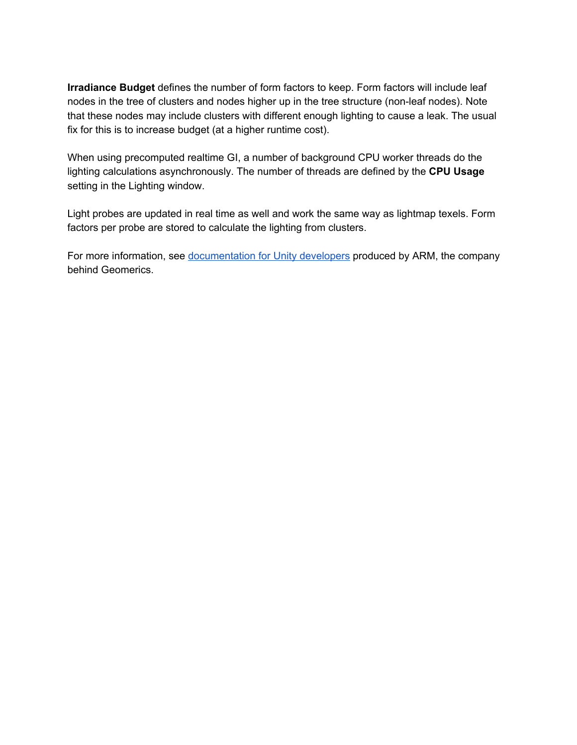**Irradiance Budget** defines the number of form factors to keep. Form factors will include leaf nodes in the tree of clusters and nodes higher up in the tree structure (non-leaf nodes). Note that these nodes may include clusters with different enough lighting to cause a leak. The usual fix for this is to increase budget (at a higher runtime cost).

When using precomputed realtime GI, a number of background CPU worker threads do the lighting calculations asynchronously. The number of threads are defined by the **CPU Usage** setting in the Lighting window.

Light probes are updated in real time as well and work the same way as lightmap texels. Form factors per probe are stored to calculate the lighting from clusters.

For more information, see [documentation](http://malideveloper.arm.com/documentation/developer-guides/arm-guide-unity-enhancing-mobile-games/) for Unity developers produced by ARM, the company behind Geomerics.